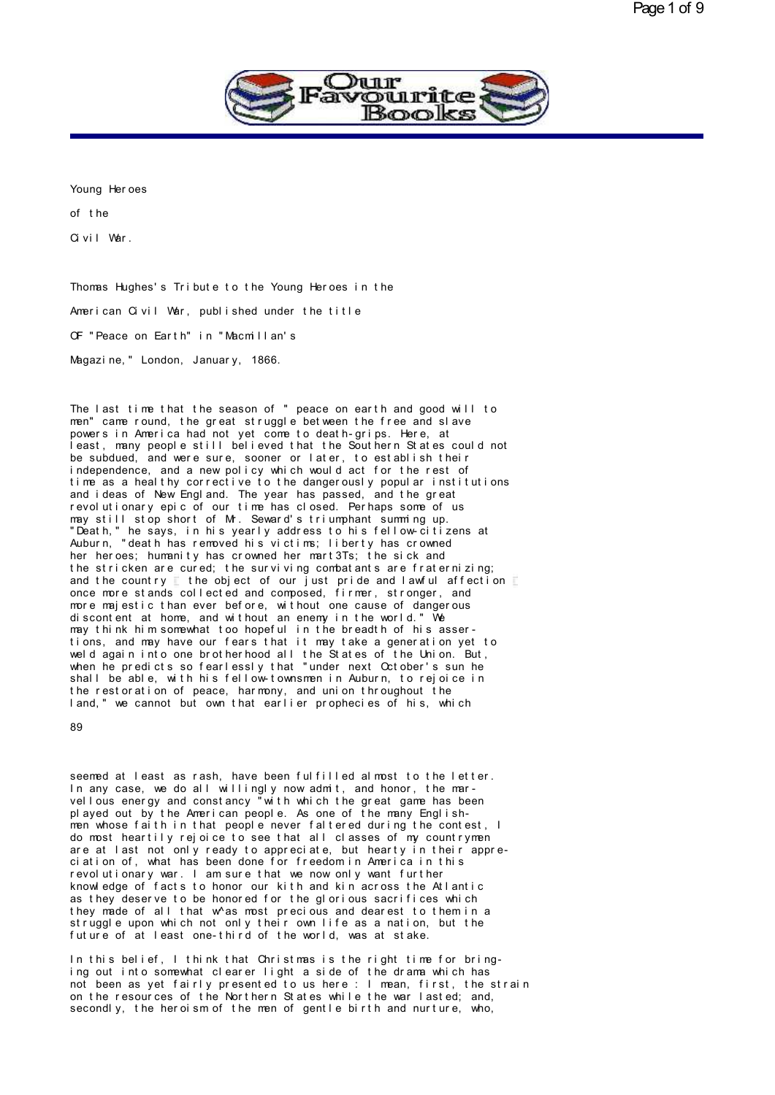

Young Her oes<br>Young Her oes<br>of the Young Heroes<br>of the<br>Civil Wer Young Heroes<br>of the<br>Civil War.

Givil War.<br>Thomas Hughes's Tribute to the Young Heroes in the<br>American Civil War, published under the title Thomas Hughes's Tribute to the Young Heroes in the<br>American Civil War, published under the title<br>CE "Peace on Earth" in "Macmillan's Thomas Hughes's Tribute to the Young Heroes in t<br>American Civil War, published under the title<br>OF "Peace on Earth" in "Macmillan's<br>Meazine " London, January, 1866 American Civil War, published under the title<br>OF "Peace on Earth" in "Macmillan's<br>Magazine," London, January, 1866.

Magazine," London, January, 1866.<br>The last time that the season of "peace on earth and good will to<br>men" came round, the great struggle between the free and slave<br>powers in America bed not yet come to death-grips. Here, at Magazine," London, January, 1866.<br>The last time that the season of "peace on earth and good will to<br>men" came round, the great struggle between the free and slave<br>powers in America had not yet come to death-grips. Here, at The last time that the season of "peace on earth and good will to<br>men" came round, the great struggle between the free and slave<br>powers in America had not yet come to death-grips. Here, at<br>least, many people still believed The last time that the season of "peace on earth and good will to<br>men" came round, the great struggle between the free and slave<br>powers in America had not yet come to death-grips. Here, at<br>least, many people still believed The last time that the season of "peace on earth and good will to<br>men" came round, the great struggle between the free and slave<br>powers in America had not yet come to death-grips. Here, at<br>least, many people still believed The last time that the season of "peace on earth and good will to<br>men" came round, the great struggle between the free and slave<br>powers in America had not yet come to death-grips. Here, at<br>least, many people still believed men" came round, the great struggle between the tree and slave<br>powers in America had not yet come to death-grips. Here, at<br>least, many people still believed that the Southern States could not<br>be subdued, and were sure, soo powers in America had not yet come to death-grips. Here, at<br>least, many people still believed that the Southern States could not<br>be subdued, and were sure, sooner or later, to establish their<br>independence, and a new policy reast, many people still believed that the Southern States could not<br>be subdued, and were sure, sooner or later, to establish their<br>independence, and a new policy which would act for the rest of<br>time as a healthy correctiv be subdued, and were sure, sooner or later, to establish their<br>independence, and a new policy which would act for the rest of<br>time as a healthy corrective to the dangerously popular institution<br>and ideas of New England. Th independence, and a new policy which would act for the rest of<br>time as a healthy corrective to the dangerously popular institutions<br>and ideas of New England. The year has passed, and the great<br>revolutionary epic of our tim time as a healthy corrective to the dangerously popular institutions<br>and ideas of New England. The year has passed, and the great<br>revolutionary epic of our time has closed. Perhaps some of us<br>may still stop short of Mr. Se and ideas of New England. The year has passed, and the great<br>revolutionary epic of our time has closed. Perhaps some of us<br>may still stop short of Mr. Seward's triumphant summing up.<br>"Death," he says, in his yearly address revolutionary epic of our time has closed. Perhaps some of us<br>may still stop short of Mr. Seward's triumphant summing up.<br>"Death," he says, in his yearly address to his fellow-citizens at<br>Auburn, "death has removed his vi may still stop short of Mr. Seward's triumphant summing up.<br>"Death," he says, in his yearly address to his fellow-citizens at<br>Auburn, "death has removed his victims; liberty has crowned<br>her heroes; humanity has crowned he "Leath," he says, in his yearly address to his fellow-citizens at<br>Auburn, "death has removed his victims; liberty has crowned<br>her heroes; humanity has crowned her mart3Ts; the sick and<br>the stricken are cured; the survivin Auburn, "death has removed his victims; liberty has crowned<br>her heroes; humanity has crowned her mart3Ts; the sick and<br>the stricken are cured; the surviving combatants are fraternizing;<br>and the country  $\Gamma$  the object of o her heroes; humanity has crowned her mart31s; the sick and<br>the stricken are cured; the surviving combatants are fraternizing;<br>and the country  $\Gamma$  the object of our just pride and lawful affection<br>once more stands collecte the stricken are cured; the surviving combatants are traternizing;<br>and the country  $\Gamma$  the object of our just pride and lawful affection<br>once more stands collected and composed, firmer, stronger, and<br>more majestic than ev and the country  $\Gamma$  the object of our just pride and lawful affection<br>once more stands collected and composed, firmer, stronger, and<br>more majestic than ever before, without one cause of dangerous<br>discontent at home, and w once more stands collected and composed, firmer, stronger, and<br>more majestic than ever before, without one cause of dangerous<br>discontent at home, and without an enemy in the world." We<br>may think him somewhat too hopeful in more majestic than ever before, without one cause of dangerous<br>discontent at home, and without an enemy in the world." We<br>may think him somewhat too hopeful in the breadth of his asser-<br>tions, and may have our fears that i discontent at home, and without an enemy in the world." We<br>may think him somewhat too hopeful in the breadth of his asser-<br>tions, and may have our fears that it may take a generation yet to<br>weld again into one brotherhood may think him somewhat too hopeful in the breadth of his asser-<br>tions, and may have our fears that it may take a generation yet to<br>weld again into one brotherhood all the States of the Union. But,<br>when he predicts so fearl tions, and may have our tears that it may take a generation yet to weld again into one brotherhood all the States of the Union. But, when he predicts so fearlessly that "under next October's sun he shall be able, with his

89

seemed at least as rash, have been fulfilled almost to the letter.<br>In any case, we do all willingly now admit, and honor, the marvellous energy and constancy "with which the great game has been<br>played out by the American people. As one of the many English-<br>men whose faith in that people never faltered during the contest, I ple and the American people is the American people of the Merican people of the many English- whose faith in that people. As one of the many English- men whose faith in that people never faltered during the contest, I do m seemed at least as rash, have been fulfilled almost to the letter.<br>In any case, we do all willingly now admit, and honor, the mar-<br>vellous energy and constancy "with which the great game has been<br>played out by the American In any case, we do all willingly now admit, and honor, the mar-<br>vellous energy and constancy "with which the great game has been<br>played out by the American people. As one of the many English-<br>men whose faith in that people played out by the American people. As one of the many Englishmen whose faith in that people never faltered during the contest, I<br>do most heartily rejoice to see that all classes of my countrymen<br>are at last not only ready men whose faith in that people never faltered during the contest, I<br>do most heartily rejoice to see that all classes of my countrymen<br>are at last not only ready to appreciate, but hearty in their appre-<br>ciation of, what ha are at last not only ready to appreciate, but hearty in their appre-<br>ciation of, what has been done for freedom in America in this<br>revolutionary war. I am sure that we now only want further<br>knowledge of facts to honor our are at last not only ready to appreciate, but hearty in their appre-<br>ciation of, what has been done for freedom in America in this<br>revolutionary war. I am sure that we now only want further<br>knowledge of facts to honor our ciation of, what has been done for freedom in America in this<br>revolutionary war. I am sure that we now only want further<br>knowledge of facts to honor our kith and kin across the Atlantic<br>as they deserve to be honored for th they made of all that w^as most precious and dearest to them in a<br>struggle upon which not only their own life as a nation, but the<br>future of at least one-third of the world, was at stake. as they deserve to be honored for the glorious sacrifices which<br>they made of all that w^as most precious and dearest to them in a<br>struggle upon which not only their own life as a nation, but the<br>future of at least one-thir

in they made of all that w^as most precious and dearest to them in a<br>struggle upon which not only their own life as a nation, but the<br>future of at least one-third of the world, was at stake.<br>In this belief, I think that Ch struggle upon which not only their own life as a nation, but the<br>future of at least one-third of the world, was at stake.<br>In this belief, I think that Christmas is the right time for bring-<br>ing out into somewhat clearer li future of at least one-third of the world, was at stake.<br>In this belief, I think that Christmas is the right time for bring-<br>ing out into somewhat clearer light a side of the drama which has<br>not been as yet fairly presente In this belief, I think that Christmas is the right time for bring-<br>ing out into somewhat clearer light a side of the drama which has<br>not been as yet fairly presented to us here : I mean, first, the strain<br>on the resources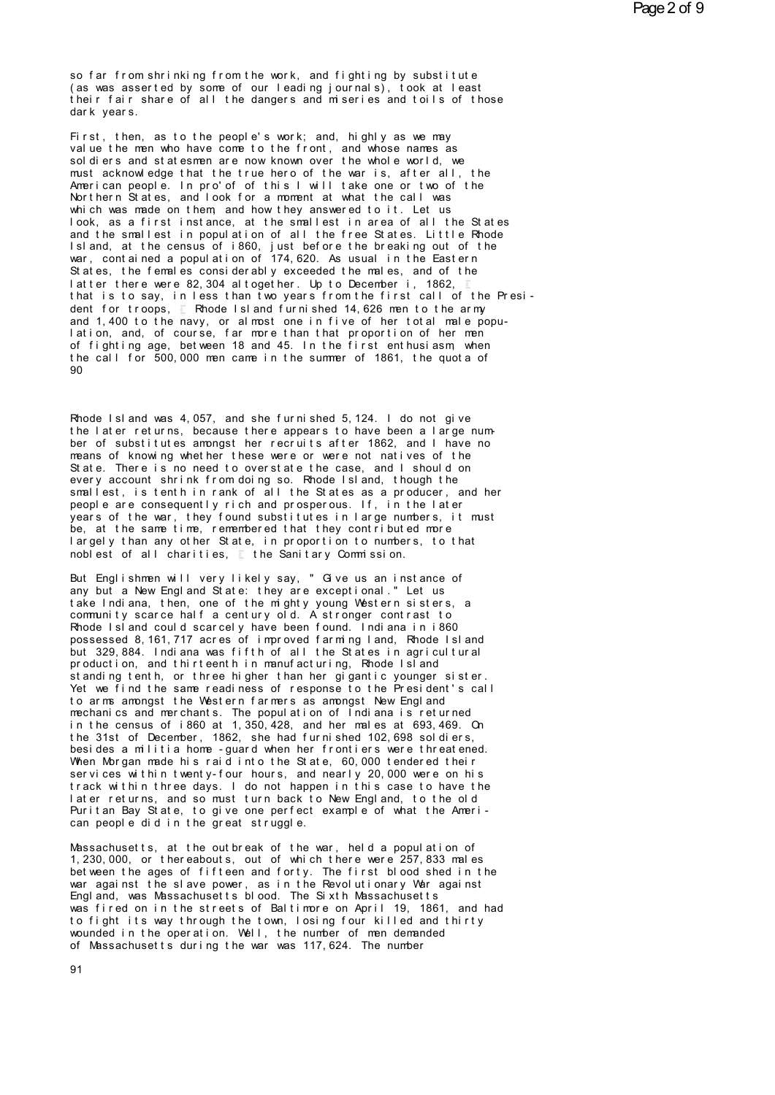so far from shrinking from the work, and fighting by substitute (as was asserted by some of our leading journals), took at least<br>their fair share of all the dangers and miseries and toils of those dark years.

First, then, as to the people's work; and, highly as we may value the men who have come to the front, and whose names as sol diers and statesmen are now known over the whole world, we must acknowledge that the true hero of the war is, after all, the American people. In pro'of of this I will take one or two of the<br>Northern States, and look for a moment at what the call was which was made on them, and how they answered to it. Let us look, as a first instance, at the smallest in area of all the States and the smallest in population of all the free States. Little Rhode Island, at the census of i860, just before the breaking out of the war, contained a population of 174,620. As usual in the Eastern States, the females considerably exceeded the males, and of the latter there were 82, 304 altogether. Up to December i, 1862, that is to say, in less than two years from the first call of the President for troops, Rhode Island furnished 14,626 men to the army and 1,400 to the navy, or almost one in five of her total male population, and, of course, far more than that proportion of her men of fighting age, between 18 and 45. In the first enthusiasm, when the call for 500,000 men came in the summer of 1861, the quota of  $90$ 

Rhode Island was 4,057, and she furnished 5,124. I do not give the later returns, because there appears to have been a large number of substitutes amongst her recruits after 1862, and I have no means of knowing whether these were or were not natives of the State. There is no need to overstate the case, and I should on every account shrink from doing so. Rhode Island, though the smallest, is tenth in rank of all the States as a producer, and her people are consequently rich and prosperous. If, in the later years of the war, they found substitutes in large numbers, it must be, at the same time, remembered that they contributed more largely than any other State, in proportion to numbers, to that noblest of all charities. I the Sanitary Commission.

But Englishmen will very likely say, " Give us an instance of any but a New Engl and State: they are exceptional." Let us take Indiana, then, one of the mighty young Western sisters, a community scarce half a century old. A stronger contrast to Rhode Island could scarcely have been found. Indiana in i860 possessed 8, 161, 717 acres of improved farming land, Rhode Island but 329,884. Indiana was fifth of all the States in agricultural production, and thirteenth in manufacturing. Rhode Island standing tenth, or three higher than her gigantic younger sister. Yet we find the same readiness of response to the President's call to arms amongst the Western farmers as amongst New England mechanics and merchants. The population of Indiana is returned in the census of i860 at 1, 350, 428, and her males at 693, 469. On the 31st of December, 1862, she had furnished 102,698 soldiers, besides a militia home - guard when her frontiers were threatened. When Morgan made his raid into the State, 60,000 tendered their services within twenty-four hours, and nearly 20,000 were on his<br>track within three days. I do not happen in this case to have the later returns, and so must turn back to New England, to the old Puritan Bay State, to give one perfect example of what the American people did in the great struggle.

Massachusetts, at the outbreak of the war, held a population of 1,230,000, or thereabouts, out of which there were 257,833 males bet ween the ages of fifteen and forty. The first blood shed in the war against the slave power, as in the Revolutionary War against Engl and, was Massachusetts blood. The Sixth Massachusetts was fired on in the streets of Baltimore on April 19, 1861, and had to fight its way through the town, losing four killed and thirty wounded in the operation. Well, the number of men demanded of Massachusetts during the war was 117, 624. The number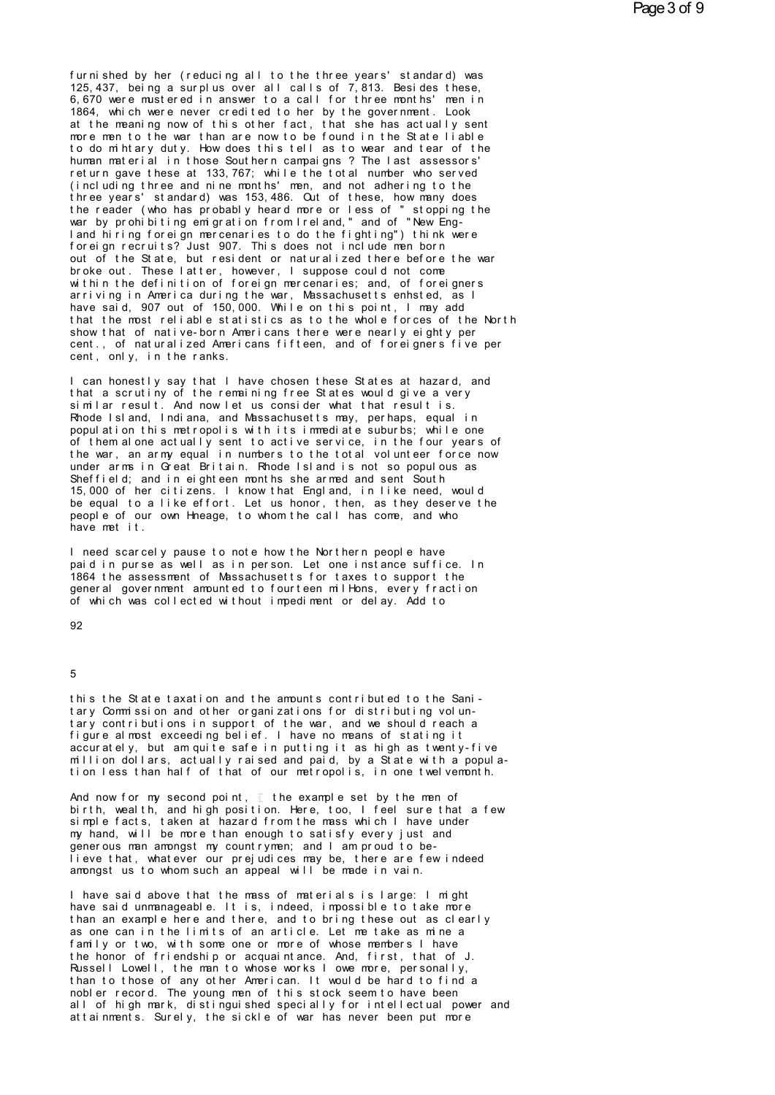fur ni shed by her (reducing all to the three years' standard) was<br>125,437, being a surplus over all calls of 7,813. Besides these,<br>6,670 were mustered in answer to a call for three months' man in furnished by her (reducing all to the three years' standard) was<br>125,437, being a surplus over all calls of 7,813. Besides these,<br>6,670 were mustered in answer to a call for the enominal mening.<br>1864, which were ever credi furnished by her (reducing all to the three years' standard) was<br>125,437, being a surplus over all calls of 7,813. Besides these,<br>6,670 were mustered in answer to a call for three months' men in<br>1864, which were never cred furnished by her (reducing all to the three years' standard) was<br>125,437, being a surplus over all calls of 7,813. Besides these,<br>6,670 were mustered in answer to a call for three months' men in<br>1864, which were never cred furnished by her (reducing all to the three years' standard) was<br>125,437, being a surplus over all calls of 7,813. Besides these,<br>6,670 were mustered in answer to a call for three months' men in<br>1864, which were never cred furnished by her (reducing all to the three years' standard) was<br>125,437, being a surplus over all calls of 7,813. Besides these,<br>6,670 were mustered in answer to a call for three months' men in<br>1864, which were never cred 125,437, being a surplus over all calls of 7,813. Besides these,<br>6,670 were mustered in answer to a call for three months' men in<br>1864, which were never credited to her by the government. Look<br>at the meaning now of this ot 6,670 were mustered in answer to a call for three months' men in<br>1864, which were never credited to her by the government. Look<br>at the meaning now of this other fact, that she has actually sent<br>more men to the war than are 1864, which were never credited to her by the government. Look<br>at the meaning now of this other fact, that she has actually sent<br>more men to the war than are now to be found in the State liable<br>to do mihtary duty. How does at the meaning now of this other fact, that she has actually sent<br>more men to the war than are now to be found in the State liable<br>to do mihtary duty. How does this tell as to wear and tear of the<br>human material in those S more men to the war than are now to be found in the State liable<br>to do mihtary duty. How does this tell as to wear and tear of the<br>human material in those Southern campaigns? The last assessors'<br>return gave these at 133,76 to do m htary duty. How does this tell as to wear and tear of the<br>human material in those Southern campaigns? The last assessors'<br>return gave these at 133,767; while the total number who served<br>(including three and nine mo human material in those Southern campaigns? The last assessors'<br>return gave these at 133,767; while the total number who served<br>(including three and nine months' men, and not adhering to the<br>three years' standard) was 153, return gave these at 133,767; while the total number who served<br>(including three and nine months' men, and not adhering to the<br>three years' standard) was 153,486. Out of these, how many does<br>the reader (who has probably he (including three and nine months' men, and not adhering to the<br>three years' standard) was 153,486. Out of these, how many does<br>the reader (who has probably heard more or less of "stopping the<br>war by prohibiting emigration three years' standard) was 153,486. Out of these, how many does<br>the reader (who has probably heard more or less of "stopping the<br>war by prohibiting emigration from Ireland," and of "New Eng-<br>land hiring foreign mercenaries the reader (who has probably heard more or less of "stopping the<br>war by prohibiting emigration from Ireland," and of "New Eng-<br>land hiring foreign mercenaries to do the fighting") think were<br>foreign recruits? Just 907. Thi war by prohibiting em gration from Ireland," and of "New Eng-<br>land hiring foreign mercenaries to do the fighting") think were<br>foreign recruits? Just 907. This does not include men born<br>out of the State, but resident or nat land hiring foreign mercenaries to do the fighting") think were<br>foreign recruits? Just 907. This does not include men born<br>out of the State, but resident or naturalized there before the war<br>broke out. These latter, however foreign recruits? Just 907. This does not include men born<br>out of the State, but resident or naturalized there before the war<br>broke out. These latter, however, I suppose could not come<br>within the definition of foreign merc out of the State, but resident or naturalized there before the war<br>broke out. These latter, however, I suppose could not come<br>within the definition of foreign mercenaries; and, of foreigners<br>arriving in America during the broke out. Ihese latter, however, I suppose could not come<br>within the definition of foreign mercenaries; and, of foreigners<br>arriving in America during the war, Massachusetts enhsted, as I<br>have said, 907 out of 150,000. Whi within the definition of foreign mercenaries; and, of foreigners<br>arriving in America during the war, Massachusetts enhsted, as I<br>have said, 907 out of 150,000. While on this point, I may add<br>that the most reliable statisti arriving in America during the war<br>have said, 907 out of 150,000. Whithat the most reliable statistics<br>show that of native-born Americans<br>cent., of naturalized Americans fi<br>cent, only, in the ranks.<br>Lean honestly say that I can honest reliable statistics as to the whole forces of the North<br>Show that of native-born Americans there were nearly eighty per<br>cent, of naturalized Americans fifteen, and of foreigners five per<br>cent, only, in the ran

show that of native-born Americans there were nearly eighty per<br>cent, of naturalized Americans fifteen, and of foreigners five per<br>cent, only, in the ranks.<br>I can honestly say that I have chosen these States at hazard, and cent, of naturalized Americans fifteen, and of foreigners five per<br>cent, only, in the ranks.<br>I can honestly say that I have chosen these States at hazard, and<br>that a scrutiny of the remaining free States would give a very<br> cent, only, in the ranks.<br>I can honestly say that I have chosen these States at hazard, and<br>that a scrutiny of the remaining free States would give a very<br>similar result. And now let us consider what that result is.<br>Rhode I can honestly say that I have chosen these States at hazard, and<br>that a scrutiny of the remaining free States would give a very<br>similar result. And now let us consider what that result is.<br>Rhode Island, Indiana, and Massa I can honestly say that I have chosen these States at hazard, and<br>that a scrutiny of the remaining free States would give a very<br>similar result. And now let us consider what that result is.<br>Rhode Island, Indiana, and Massa that a scrutiny of the remaining tree States would give a very<br>similar result. And now let us consider what that result is.<br>Rhode Island, Indiana, and Massachusetts may, perhaps, equal in<br>population this metropolis with it similar result. And now let us consider what that result is.<br>Rhode Island, Indiana, and Massachusetts may, perhaps, equal in<br>population this metropolis with its immediate suburbs; while one<br>of them alone actually sent to a Rhode Island, Indiana, and Massachusetts may, perhaps, equal in<br>population this metropolis with its immediate suburbs; while one<br>of them alone actually sent to active service, in the four years of<br>the war, an army equal in population this metropolis with its immediate suburbs; while one<br>of them alone actually sent to active service, in the four years of<br>the war, an army equal in numbers to the total volunteer force now<br>under arms in Great Br of them alone actually sent to active service, in the four years of<br>the war, an army equal in numbers to the total volunteer force now<br>under arms in Great Britain. Rhode Island is not so populous as<br>Sheffield; and in eight the war, an army equal in numbers to the total volunteer force now under arms in Great Britain. Rhode Island is not so populous as Sheffield; and in eighteen months she armed and sent South 15,000 of her citizens. I know t under arms in Great Brita<br>Sheffield; and in eightee<br>15,000 of her citizens. I<br>be equal to a like effort<br>people of our own Hheage,<br>have met it.<br>I need scarcely pause to, be equal to a like effort. Let us honor, then, as they deserve the people of our own Hneage, to whom the call has come, and who have met it.<br>I need scarcely pause to note how the Northern people have paid in purse as well people of our own Hneage, to whom the call has come, and who

people of our own Hheage, to whom the call has come, and who<br>have met it.<br>I need scarcely pause to note how the Northern people have<br>paid in purse as well as in person. Let one instance suffice. In<br>1864 the assessment of M have met it.<br>I need scarcely pause to note how the Northern people have<br>paid in purse as well as in person. Let one instance suffice. In<br>1864 the assessment of Massachusetts for taxes to support the<br>general government amou I need scarcely pause to note how the Northern people have<br>paid in purse as well as in person. Let one instance suffice. In<br>1864 the assessment of Massachusetts for taxes to support the<br>general government amounted to fourt

92

#### 5

5<br>this the State taxation and the amounts contributed to the Sani-<br>tary Commission and other organizations for distributing volunthis the State taxation and the amounts contributed to the Sani-<br>tary Commission and other organizations for distributing volun-<br>tary contributions in support of the war, and we should reach a<br>figure almost exceeding belie this the State taxation and the amounts contributed to the Sani-<br>tary Commission and other organizations for distributing volun-<br>tary contributions in support of the war, and we should reach a<br>figure almost exceeding belie f his the State taxation and the amounts contributed to the Sani-<br>tary Commission and other organizations for distributing volun-<br>tary contributions in support of the war, and we should reach a<br>figure almost exceeding beli this the State taxation and the amounts contributed to the Sani-<br>tary Commission and other organizations for distributing volun-<br>tary contributions in support of the war, and we should reach a<br>figure almost exceeding belie this the State taxation and the amounts contributed to the Sani-<br>tary Commission and other organizations for distributing volun-<br>tary contributions in support of the war, and we should reach a<br>figure almost exceeding belie tary Comm ssion and other organizations for distributing voluntary contributions in support of the war, and we should reach a figure almost exceeding belief. I have no means of stating it accurately, but amquite safe in pu rigure aimost exceeding bellef. I have no means of stating it<br>accurately, but amquite safe in putting it as high as twenty-fiv<br>million dollars, actually raised and paid, by a State with a popu<br>tion less than half of that o

accurately, but amquite sate in putting it as high as twenty-five<br>million dollars, actually raised and paid, by a State with a popula-<br>tion less than half of that of our metropolis, in one twelvemonth.<br>And now for my secon million dollars, actually raised and paid, by a State with a popul<br>tion less than half of that of our metropolis, in one twelvemonth.<br>And now for my second point,  $\Gamma$  the example set by the men of<br>birth, wealth, and high tion less than half of that of our metropolis, in one twelvemonth.<br>And now for my second point, I the example set by the men of<br>birth, wealth, and high position. Here, too, I feel sure that a few<br>simple facts, taken at haz And now for my second point, the example set by the men of<br>birth, wealth, and high position. Here, too, I feel sure that a fe<br>simple facts, taken at hazard from the mass which I have under<br>my hand, will be more than enough And now for my second point, If the example set by the men of<br>birth, wealth, and high position. Here, too, I feel sure that a few<br>simple facts, taken at hazard from the mass which I have under<br>my hand, will be more than en birth, wealth, and high position. Here, too, I feel sure that a few simple facts, taken at hazard from the mass which I have under my hand, will be more than enough to satisfy every just and generous man amongst my country In hand, will be more than enough to satisty every just and<br>generous man amongst my countrymen; and I am proud to be-<br>lieve that, whatever our prejudices may be, there are few indeed<br>amongst us to whom such an appeal will

generous man amongst my countrymen; and I am proud to be-<br>lieve that, whatever our prejudices may be, there are few indeed<br>amongst us to whom such an appeal will be made in vain.<br>I have said above that the mass of material tieve that, whatever our prejudices may be, there are few indeed<br>amongst us to whom such an appeal will be made in vain.<br>I have said above that the mass of materials is large: I might<br>have said unmanageable. It is, indeed, amongst us to whom such an appeal will be made in vain.<br>I have said above that the mass of materials is large: I might<br>have said unmanageable. It is, indeed, impossible to take more<br>than an example here and there, and to b I have said above that the mass of materials is large: I might<br>have said unmanageable. It is, indeed, impossible to take more<br>than an example here and there, and to bring these out as clearly<br>as one can in the limits of an I have said above that the mass of materials is large: I might<br>have said unmanageable. It is, indeed, impossible to take more<br>than an example here and there, and to bring these out as clearly<br>as one can in the limits of an have said unmanageable. It is, indeed, impossible to take more<br>than an example here and there, and to bring these out as clearly<br>as one can in the limits of an article. Let me take as mine a<br>family or two, with some one or than an example here and there, and to bring these out as clearly<br>as one can in the limits of an article. Let me take as mine a<br>family or two, with some one or more of whose members I have<br>the honor of friendship or acquai as one can in the limits of an article. Let me take as mine a<br>family or two, with some one or more of whose members I have<br>the honor of friendship or acquaintance. And, first, that of J.<br>Russell Lowell, the man to whose wo family or two, with some one or more of whose members I have<br>the honor of friendship or acquaintance. And, first, that of J.<br>Russell Lowell, the man to whose works I owe more, personally,<br>than to those of any other America the honor of friendship or acquaintance. And, first, that of J.<br>Russell Lowell, the man to whose works I owe more, personally,<br>than to those of any other American. It would be hard to find a<br>nobler record. The young men of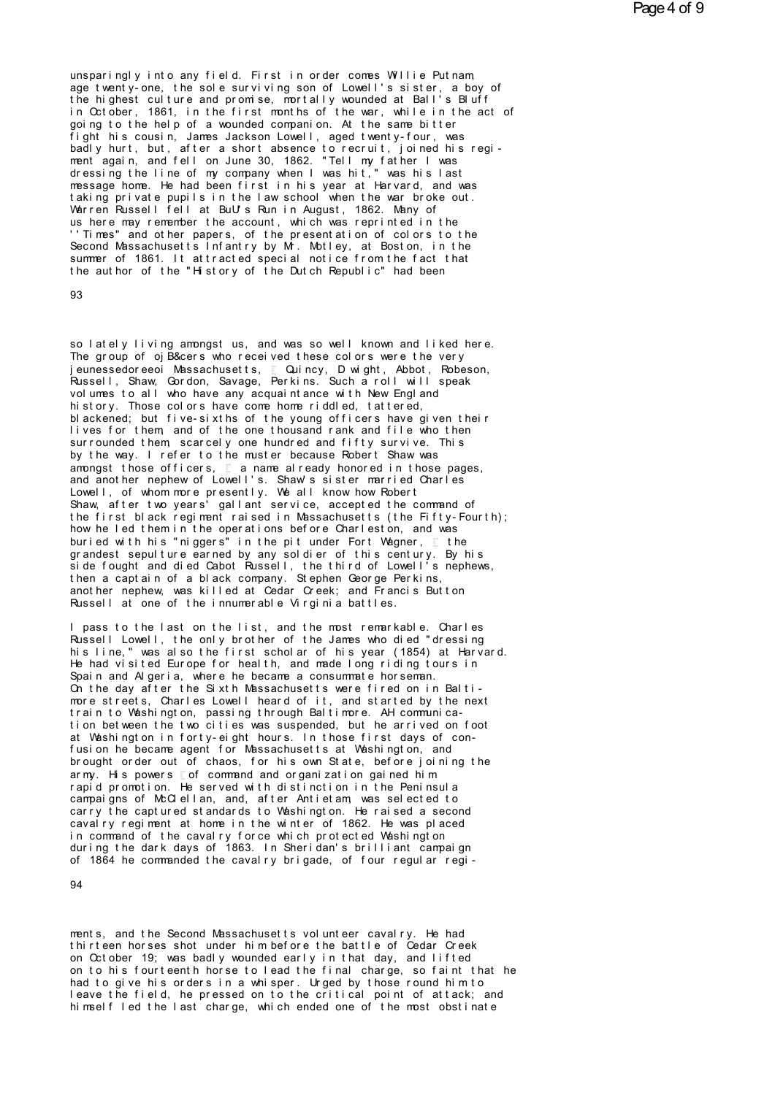unsparingly into any field. First in order comes Willie Putnam,<br>age twenty-one, the sole surviving son of Lowell's sister, a boy of<br>the bighest culture and promise, montally younded at Ball's Bluff unsparingly into any field. First in order comes Willie Putnam,<br>age twenty-one, the sole surviving son of Lowell's sister, a boy of<br>the highest culture and promise, mortally wounded at Ball's Bluff<br>in October 1861 in the f unsparingly into any field. First in order comes Willie Putnam,<br>age twenty-one, the sole surviving son of Lowell's sister, a boy of<br>the highest culture and promise, mortally wounded at Ball's Bluff<br>in October, 1861, in the unsparingly into any field. First in order comes Willie Putnam,<br>age twenty-one, the sole surviving son of Lowell's sister, a boy of<br>the highest culture and promise, mortally wounded at Ball's Bluff<br>in October, 1861, in the unsparingly into any field. First in order comes Willie Putnam<br>age twenty-one, the sole surviving son of Lowell's sister, a boy of<br>the highest culture and promise, mortally wounded at Ball's Bluff<br>in October, 1861, in the unsparingly into any tield. Hirst in order comes Willie Putnam,<br>age twenty-one, the sole surviving son of Lowell's sister, a boy of<br>the highest culture and promise, mortally wounded at Ball's Bluff<br>in October, 1861, in the age twenty-one, the sole surviving son of Lowell's sister, a boy of<br>the highest culture and promise, mortally wounded at Ball's Bluff<br>in October, 1861, in the first months of the war, while in the act of<br>going to the help in October, 1861, in the first months of the war, while in the act of<br>going to the help of a wounded companion. At the same bitter<br>fight his cousin, James Jackson Lowell, aged twenty-four, was<br>badly hurt, but, after a shor going to the help of a wounded companion. At the same bitter<br>fight his cousin, James Jackson Lowell, aged twenty-four, was<br>badly hurt, but, after a short absence to recruit, joined his regi-<br>ment again, and fell on June 30 fight his cousin, James Jackson Lowell, aged twenty-four, was<br>badly hurt, but, after a short absence to recruit, joined his regi-<br>ment again, and fell on June 30, 1862. "Tell my father I was<br>dressing the line of my company badly hurt, but, after a short absence to recruit, joined his rement again, and fell on June 30, 1862. "Tell my father I was dressing the line of my company when I was hit," was his last message home. He had been first in message home. He had been first in his year at Harvard, and was taking private pupils in the law school when the war broke out.<br>Warren Russell fell at BuU's Run in August, 1862. Many of us here may remember the account, wh dressing the line of my company when I was hit," was his last<br>message home. He had been first in his year at Harvard, and was<br>taking private pupils in the law school when the war broke out.<br>Warren Russell fell at BuU's Run message home. He had been tirst in his year at Harvard, and was<br>taking private pupils in the law school when the war broke out.<br>Warren Russell fell at BuU's Run in August, 1862. Many of<br>us here may remember the account, wh taking private pupils in the law school when the war broke out.<br>Warren Russell fell at BuU's Run in August, 1862. Many of<br>us here may remember the account, which was reprinted in the<br>''Times" and other papers, of the prese Warren Russell fell at BuU's Run in August, 1862. Many of<br>us here may remember the account, which was reprinted in the<br>''Times" and other papers, of the presentation of colors to the<br>Second Massachusetts Infantry by Mr. Mo

93

so lately living amongst us, and was so well known and liked here.<br>The group of ojB&cers who received these colors were the very 93<br>So lately living amongst us, and was so well known and liked here.<br>The group of ojB&cers who received these colors were the very<br>jeunessedoreeoi Massachusetts, Equincy, Dwight, Abbot, Robeson,<br>Pussell Shaw Gordon Savag so lately living amongst us, and was so well known and liked here.<br>The group of ojB&cers who received these colors were the very,<br>Russell, Shaw, Gordon, Savage, Perkins. Such a roll will speak<br>wolumes to all who baye any a so lately living amongst us, and was so well known and liked here.<br>The group of ojB&cers who received these colors were the very<br>jeunessedoreeoi Massachusetts, E Quincy, D wight, Abbot, Robeson,<br>Russell, Shaw, Gordon, Sav so lately living amongst us, and was so well known and liked here.<br>The group of ojB&cers who received these colors were the very<br>jeunessedoreeoi Massachusetts, [Quincy, D wight, Abbot, Robeson,<br>Russell, Shaw, Gordon, Savag so lately living amongst us, and was so well known and liked here.<br>The group of ojB&cers who received these colors were the very<br>jeunessedoreeoi Massachusetts, Cuincy, Dwight, Abbot, Robeson,<br>Russell, Shaw, Gordon, Savage, The group of ojB&cers who received these colors were the very<br>jeunessedoreeoi Massachusetts, **C**uincy, Dwight, Abbot, Robeson,<br>Russell, Shaw, Gordon, Savage, Perkins. Such a roll will speak<br>volumes to all who have any acqu l eunessedoreeoi Massachusetts, Culincy, Dwight, Abbot, Robeson,<br>Russell, Shaw, Gordon, Savage, Perkins. Such a roll will speak<br>volumes to all who have any acquaintance with New England<br>history. Those colors have come home volumes to all who have any acquaintance with New England<br>history. Those colors have come home riddled, tattered,<br>blackened; but five-sixths of the young officers have given their<br>lives for them, and of the one thousand ra volumes to all who have any acquaintance with New England<br>history. Those colors have come home riddled, tattered,<br>blackened; but five-sixths of the young officers have given the<br>lives for them, and of the one thousand rank history. Inose colors have come home riddled, tattered,<br>blackened; but five-sixths of the young officers have given their<br>lives for them, and of the one thousand rank and file who then<br>surrounded them, scarcely one hundred blackened; but five-sixths of the young officers have given their<br>lives for them, and of the one thousand rank and file who then<br>surrounded them, scarcely one hundred and fifty survive. This<br>by the way. I refer to the must Lives for them, and of the one thousand rank and file who then<br>surrounded them, scarcely one hundred and fifty survive. This<br>by the way. I refer to the muster because Robert Shaw was<br>amongst those officers,  $\Gamma$  a name alr surrounded them, scarcely one hundred and fifty survive. This<br>by the way. I refer to the muster because Robert Shaw was<br>amongst those officers, and annone already honored in those pages,<br>and another nephew of Lowell's. Sha by the way. I refer to the muster because Robert Shaw was<br>amongst those officers, and aname already honored in those pages,<br>and another nephew of Lowell's. Shaw's sister married Charles<br>Lowell, of whom more presently. We a amongst those officers,  $\Gamma$  a name already honored in those pages,<br>and another nephew of Lowell's. Shaw's sister married Charles<br>Lowell, of whom more presently. We all know how Robert<br>Shaw, after two years' gallant servic and another nepnew or Lowell's. Shaw's sister married Charles<br>Lowell, of whom more presently. We all know how Robert<br>Shaw, after two years' gallant service, accepted the command of<br>the first black regiment raised in Massac Lowell, of whom more presently. We all know how Robert<br>Shaw, after two years' gallant service, accepted the command of<br>the first black regiment raised in Massachusetts (the Fifty-Fourth);<br>how he led them in the operations Shaw, after two years' gallant service, accepted the command of<br>the first black regiment raised in Massachusetts (the Fifty-Fourth);<br>how he led them in the operations before Charleston, and was<br>buried with his "niggers" in the first black regiment raised in Massachusetts (the Fifty-Fourth);<br>how he led them in the operations before Charleston, and was<br>buried with his "niggers" in the pit under Fort Wagner, "the<br>grandest sepulture earned by an how he led them in the operations before Charleston, and was<br>buried with his "niggers" in the pit under Fort Wagner, Ithe<br>grandest sepulture earned by any soldier of this century. By his<br>side fought and died Cabot Russell, buried with his "niggers" in the pit under Fort Wagner, I the<br>grandest sepulture earned by any soldier of this century. By h<br>side fought and died Cabot Russell, the third of Lowell's neph<br>then a captain of a black company. side fought and died Cabot Russell, the third of Lowell's nephews,<br>then a captain of a black company. Stephen George Perkins,<br>another nephew, was killed at Cedar Creek; and Francis Button<br>Russell at one of the innumerable

then a captain of a black company. Stephen George Perkins,<br>another nephew, was killed at Cedar Creek; and Francis Button<br>Russell at one of the innumerable Virginia battles.<br>I pass to the last on the list, and the most rema another nephew, was killed at Cedar Creek; and Francis Button<br>Russell at one of the innumerable Virginia battles.<br>I pass to the last on the list, and the most remarkable. Charles<br>Russell Lowell, the only brother of the Jam Hussell at one of the innumerable Virginia battles.<br>I pass to the last on the list, and the most remarkable. Charles<br>Russell Lowell, the only brother of the James who died "dressing<br>his line," was also the first scholar of I pass to the last on the list, and the most remarkable. Charles<br>Russell Lowell, the only brother of the James who died "dressing<br>his line," was also the first scholar of his year (1854) at Harva<br>He had visited Europe for I pass to the last on the list, and the most remarkable. Charles<br>Russell Lowell, the only brother of the James who died "dressing<br>his line," was also the first scholar of his year (1854) at Harvard.<br>He had visited Europe f his line," was also the first scholar of his year (1854) at Harvard.<br>He had visited Europe for health, and made long riding tours in<br>Spain and Algeria, where he became a consummate horseman.<br>Cn the day after the Sixth Mass He had visited Europe for health, and made long riding tours in<br>Spain and Algeria, where he became a consummate horseman.<br>On the day after the Sixth Massachusetts were fired on in Balti-<br>more streets, Charles Lowell heard Spain and Algeria, where he became a consummate horseman.<br>Cn the day after the Sixth Massachusetts were fired on in Balti-<br>more streets, Charles Lowell heard of it, and started by the next<br>train to Washington, passing thro Christian the sixth Massachusetts were fired on in Baltimore streets, Charles Lowell heard of it, and started by the next train to Washington, passing through Baltimore. AH communication between the two cities was suspende more streets, Charles Lowell heard of it, and started by the next<br>train to Washington, passing through Baltimore. AH communica-<br>tion between the two cities was suspended, but he arrived on foot<br>at Washington in forty-eight train to Washington, passing through Baltimore. AH communication between the two cities was suspended, but he arrived on foot at Washington in forty-eight hours. In those first days of confusion he became agent for Massac tion between the two cities was suspended, but he arrived on toot<br>at Washington in forty-eight hours. In those first days of con-<br>fusion he became agent for Massachusetts at Washington, and<br>brought order out of chaos, for at Washington in forty-eight hours. In those first days of con-<br>fusion he became agent for Massachusetts at Washington, and<br>brought order out of chaos, for his own State, before joining the<br>army. His powers  $\square$  of command fusion he became agent for Massachusetts at Washington, and<br>brought order out of chaos, for his own State, before joining the<br>army. His powers Tof command and organization gained him<br>rapid promotion. He served with distinc brought order out of chaos, for his own State, before joining the<br>army. His powers Tof command and organization gained him<br>rapid promotion. He served with distinction in the Peninsula<br>campaigns of McClellan, and, after Ant army. His powers Tot command and organization gained him<br>rapid promotion. He served with distinction in the Peninsula<br>campaigns of McClellan, and, after Antietam, was selected to<br>carry the captured standards to Washington. rapid promotion. He served with distinction in the Peninsula<br>campaigns of McClellan, and, after Antietam, was selected to<br>carry the captured standards to Washington. He raised a second<br>cavalry regiment at home in the winte campaigns of McClellan, and, after Antietam, was selected to carry the captured standards to Washington. He raised a second caval ry regiment at home in the winter of 1862. He was placed in command of the caval ry force wh

94<br>ments, and the Second Massachusetts volunteer cavalry. He had<br>thirteen horses shot under him before the battle of Cedar Creek on October 19; was badly wounded early in that day, and lifted on to his fourteenth horse to lead the final charge, so faint that he ments, and the Second Massachusetts volunteer cavalry. He had<br>thirteen horses shot under him before the battle of Cedar Creek<br>on Cotober 19; was badly wounded early in that day, and lifted<br>on to his fourteenth horse to lea ments, and the Second Massachusetts volunteer cavalry. He had<br>thirteen horses shot under him before the battle of Cedar Creek<br>on October 19; was badly wounded early in that day, and lifted<br>on to his fourteenth horse to lea ments, and the Second Massachusetts volunteer cavalry. He had<br>thirteen horses shot under him before the battle of Cedar Creek<br>on October 19; was badly wounded early in that day, and lifted<br>on to his fourteenth horse to lea thirteen horses shot under him before the battle of Cedar Creek<br>on October 19; was badly wounded early in that day, and lifted<br>on to his fourteenth horse to lead the final charge, so faint that he<br>had to give his orders in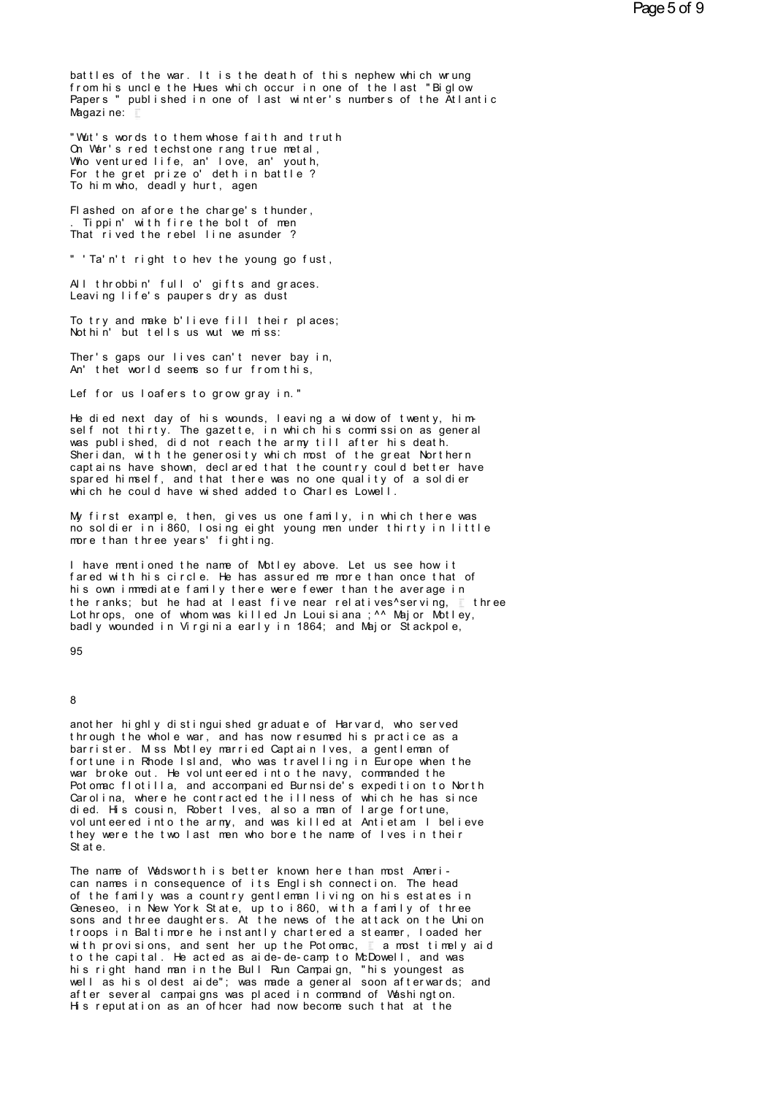battles of the war. It is the death of this nephew which wrung from his uncle the Hues which occur in one of the last "Biglow Papers " published in one of last winter's numbers of the Atlantic Magazine:

"Wut's words to them whose faith and truth On War's red techstone rang true metal, Who ventured life, an' love, an' youth,<br>For the gret prize o' deth in battle ? To him who, deadly hurt, agen

Flashed on afore the charge's thunder, . Tippin' with fire the bolt of men That rived the rebel line asunder?

" 'Ta'n't right to hev the young go fust,

All throbbin' full o' gifts and graces. Leaving life's paupers dry as dust

To try and make b'lieve fill their places; Nothin' but tells us wut we miss:

Ther's gaps our lives can't never bay in, An' thet world seems so fur from this,

Lef for us loafers to grow gray in."

He died next day of his wounds, leaving a widow of twenty, himself not thirty. The gazette, in which his commission as general was published, did not reach the army till after his death. Sheridan, with the generosity which most of the great Northern capt ains have shown, declared that the country could better have<br>spared himself, and that there was no one quality of a soldier<br>which he could have wished added to Charles Lowell.

My first example, then, gives us one family, in which there was no soldier in i860, losing eight young men under thirty in little more than three years' fighting.

I have mentioned the name of Motley above. Let us see how it fared with his circle. He has assured me more than once that of his own immediate family there were fewer than the average in the ranks; but he had at least five near relatives^serving, ithree Lot hrops, one of whom was killed Jn Louisiana; ^^ Major Motley, badly wounded in Virginia early in 1864; and Major Stackpole,

# 95

## $\mathbf{8}$

another highly distinguished graduate of Harvard, who served through the whole war, and has now resumed his practice as a barrister. M ss Motley married Captain Ives, a gentleman of fortune in Rhode Island, who was travelling in Europe when the war broke out. He volunteered into the navy, commanded the Potomac flotilla, and accompanied Burnside's expedition to North Carolina, where he contracted the illness of which he has since died. His cousin, Robert Ives, also a man of large fortune,<br>volunteered into the army, and was killed at Antietam I believe they were the two last men who bore the name of Ives in their St at e.

The name of Wadsworth is better known here than most American names in consequence of its English connection. The head<br>of the family was a country gentleman living on his estates in Geneseo, in New York State, up to i860, with a family of three sons and three daughters. At the news of the attack on the Union troops in Baltimore he instantly chartered a steamer, loaded her with provisions, and sent her up the Potomac,  $\mathbb{L}$  a most timely aid to the capital. He acted as aide-de-camp to McDowell, and was his right hand man in the Bull Run Campaign, "his youngest as well as his oldest aide"; was made a general soon afterwards; and after several campaigns was placed in command of Washington. His reputation as an officer had now become such that at the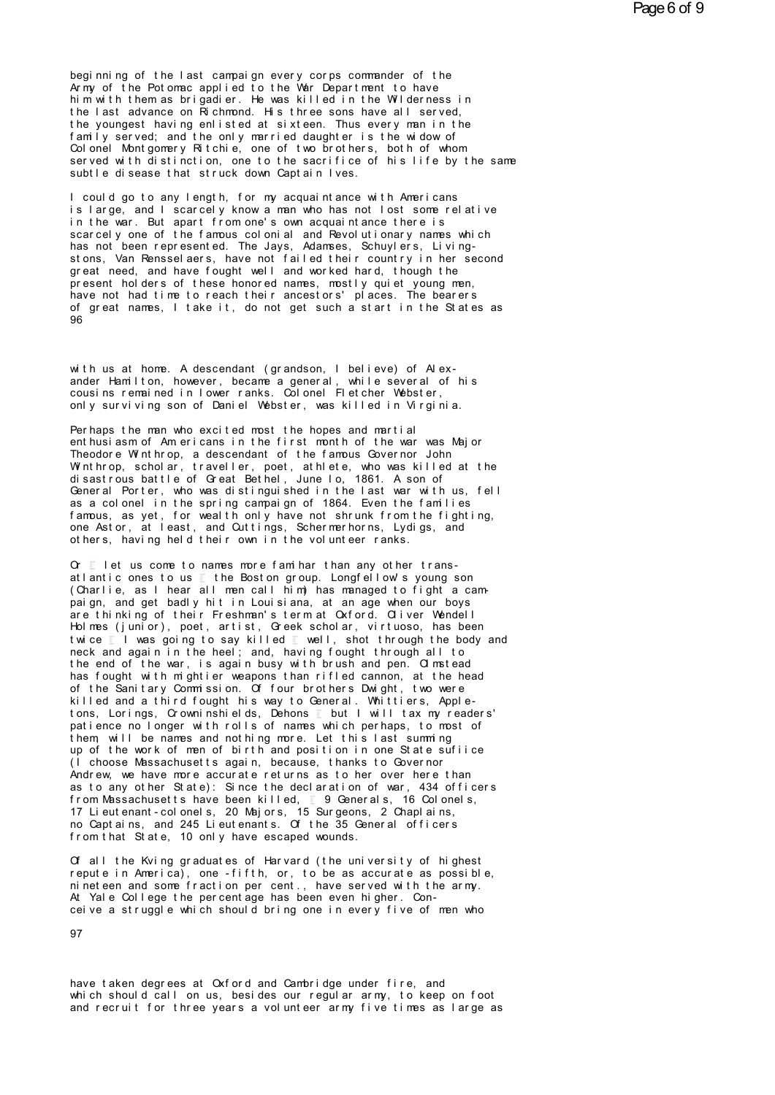beginning of the last campaign every corps commander of the Army of the Potomac applied to the War Department to have him with them as brigadier. He was killed in the Wilderness in the last advance on Richmond. His three sons have all served, the youngest having enlisted at sixteen. Thus every man in the family served; and the only married daughter is the widow of Colonel Montgomery Ritchie, one of two brothers, both of whom served with distinction, one to the sacrifice of his life by the same subtle disease that struck down Captain Ives.

I could go to any length, for my acquaintance with Americans is large, and I scarcely know a man who has not lost some relative in the war. But apart from one's own acquaintance there is scarcely one of the famous colonial and Revolutionary names which has not been represented. The Jays, Adamses, Schuylers, Livingstons, Van Rensselaers, have not failed their country in her second great need, and have fought well and worked hard, though the present holders of these honored names, mostly quiet young men, have not had time to reach their ancestors' places. The bearers of great names, I take it, do not get such a start in the States as QR

with us at home. A descendant (grandson, I believe) of Alexander Hamilton, however, became a general, while several of his cousins remained in lower ranks. Colonel Fletcher Webster, only surviving son of Daniel Webster, was killed in Virginia.

Perhaps the man who excited most the hopes and martial ent husiasm of Americans in the first month of the war was Maior Theodore Winthrop, a descendant of the famous Governor John<br>Winthrop, scholar, traveller, poet, at hiete, who was killed at the<br>disastrous battle of Great Bethel, June 10, 1861. A son of General Porter, who was distinguished in the last war with us, fell as a colonel in the spring campaign of 1864. Even the families famous, as yet, for wealth only have not shrunk from the fighting, one Astor, at least, and Outtings, Schermerhorns, Lydigs, and others, having held their own in the volunteer ranks.

 $\alpha$  let us come to names more family than any other transatlantic ones to us the Boston group. Longfellow's young son (Charlie, as I hear all men call him) has managed to fight a campaign, and get badly hit in Louisiana, at an age when our boys are thinking of their Freshman's term at Oxford. Oliver Wendell Holmes (junior), poet, artist, Greek scholar, virtuoso, has been twice I I was going to say killed I well, shot through the body and<br>neck and again in the heel; and, having fought through all to the end of the war, is again busy with brush and pen. Of material has fought with mightier weapons than rifled cannon, at the head of the Sanitary Commission. Of four brothers Dwight, two were killed and a third fought his way to General. Whittiers, Appletons, Lorings, Crowninshields, Dehons but I will tax my readers' patience no longer with rolls of names which perhaps, to most of them, will be names and nothing more. Let this last summing<br>up of the work of men of birth and position in one State sufilice (1 choose Massachusetts again, because, thanks to Governor Andrew, we have more accurate returns as to her over here than as to any other State): Since the declaration of war, 434 officers from Massachusetts have been killed, 1 9 Generals, 16 Colonels, 17 Lieutenant-colonels, 20 Majors, 15 Surgeons, 2 Chaplains, no Captains, and 245 Lieutenants. Of the 35 General officers from that State, 10 only have escaped wounds.

Of all the Kving graduates of Harvard (the university of highest repute in America), one -fifth, or, to be as accurate as possible, nineteen and some fraction per cent., have served with the army. At Yale College the percentage has been even higher. Conceive a struggle which should bring one in every five of men who

97

have taken degrees at Oxford and Cambridge under fire, and which should call on us, besides our regular army, to keep on foot and recruit for three years a volunteer army five times as large as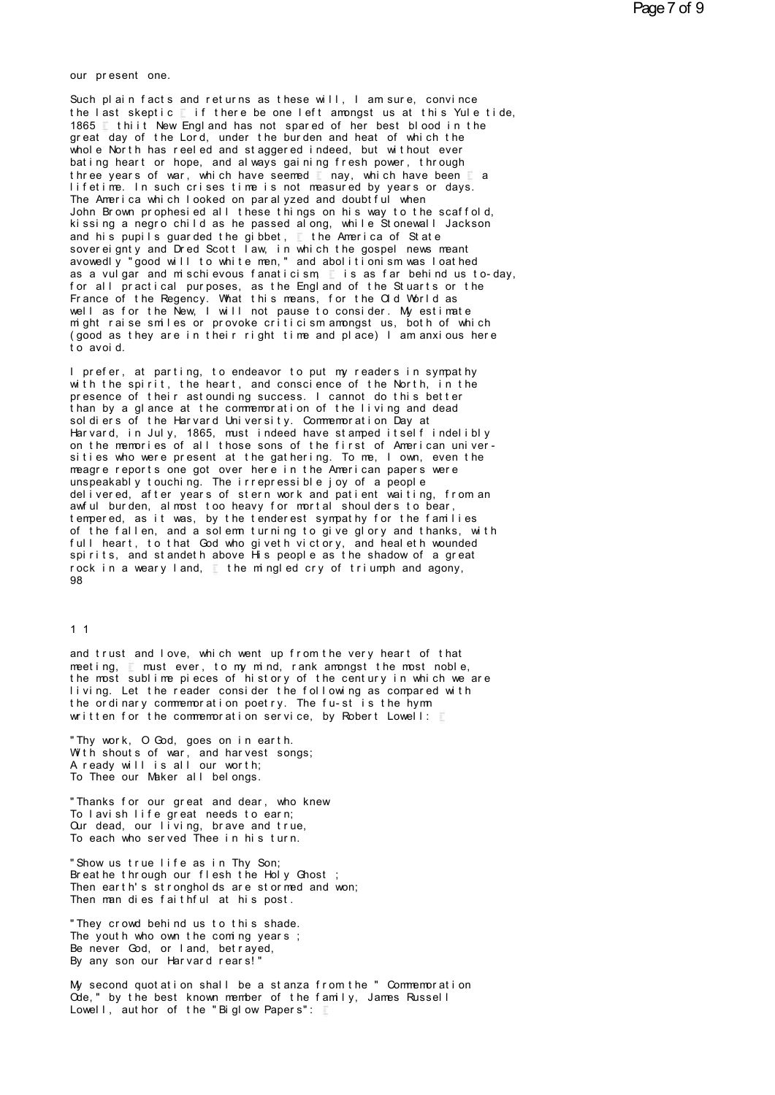our present one.<br>Such plain facts and return

Such plain facts and returns as these will, I am sure, convince<br>the last skeptic  $\mathbb E$  if there be one left amongst us at this Yule tide,<br>1965 it this how England has not apared of har boat blood in the our present one.<br>Such plain facts and returns as these will, I am sure, convince<br>the last skeptic 〖 if there be one left amongst us at this Yule tide,<br>1865 〗 thiit New England has not spared of her best blood in the<br>best our present one.<br>
Such plain facts and returns as these will, I am sure, convince<br>
the last skeptic  $\Gamma$  if there be one left amongst us at this Yule tide,<br>
1865  $\Gamma$  thiit New England has not spared of her best blood in t Such plain facts and returns as these will, I am sure, convince<br>the last skeptic  $\mathbb E$  if there be one left amongst us at this Yule tide,<br>1865  $\mathbb E$  thiit New England has not spared of her best blood in the<br>great day of Such plain facts and returns as these will, I am sure, convince<br>the last skeptic  $\Gamma$  if there be one left amongst us at this Yule tide,<br>1865  $\Gamma$  thiit New England has not spared of her best blood in the<br>great day of the Such piain facts and returns as these will, I am sure, convince<br>the last skeptic T if there be one left amongst us at this Yule tide,<br>1865 T thiit New England has not spared of her best blood in the<br>great day of the Lord, the last skeptic Tithere be one left amongst us at this Yule tide,<br>1865 Thiit New England has not spared of her best blood in the<br>great day of the Lord, under the burden and heat of which the<br>whole North has reeled and sta great day of the Lord, under the burden and heat of which the whole North has reeled and staggered indeed, but without ever bating heart or hope, and always gaining fresh power, through three years of war, which have seeme whole North has reeled and staggered indeed, but without ever Whole North has reeled and staggered indeed, but without ever<br>bating heart or hope, and always gaining fresh power, through<br>three years of war, which have seemed any, which have been a<br>lifetime. In such crises time is not bating neart or nope, and always gaining fresh power, through<br>three years of war, which have seemed any, which have been a<br>lifetime. In such crises time is not measured by years or days.<br>The America which looked on paralyz and his pupils guarded the gibbet,  $\mathbb E$  the America of State sovereignty and Dred Scott law, in which the gospel news meant I retime. In such crises time is not measured by years or days.<br>The America which looked on paralyzed and doubtful when<br>John Brown prophesied all these things on his way to the scaffold<br>kissing a negro child as he passed a The America which looked on paralyzed and doubtful when<br>John Brown prophesied all these things on his way to the scaffold,<br>kissing a negro child as he passed along, while Stonewall Jackson<br>and his pupils guarded the gibbet John Brown prophesied all these things on his way to the scarroid,<br>kissing a negro child as he passed along, while Stonewall Jackson<br>and his pupils guarded the gibbet,  $\Gamma$  the America of State<br>sovereignty and Dred Scott l k issing a negro child as he passed along, while Stonewall Jackson<br>and his pupils guarded the gibbet,  $\Box$  the America of State<br>sovereignty and Dred Scott law, in which the gospel news meant<br>avowedly "good will to white m and his pupils guarded the glibbet, the America of State<br>sovereignty and Dred Scott law, in which the gospel news meant<br>avowedly "good will to white men," and abolitionism was loathed<br>as a vulgar and mischievous fanaticism sovereignty and Dred Scott law, in which the gospel news meant<br>avowedly "good will to white men," and abolitionism was loathed<br>as a vulgar and mischievous fanaticism  $\Gamma$  is as far behind us to-day,<br>for all practical purpo avowedly "good will to white men," and abolitionism was loathed<br>as a vulgar and mischievous fanaticism  $\Gamma$  is as far behind us to-day,<br>for all practical purposes, as the England of the Stuarts or the<br>France of the Regency as a vulgar and mischievous fanaticism  $\Gamma$  is as far behind us to-day, for all practical purposes, as the England of the Stuarts or the France of the Regency. What this means, for the Old World as well as for the New, I w for all practical pur<br>France of the Regency<br>well as for the New,<br>might raise smiles or<br>(good as they are in<br>to avoid.<br>Larefer at parting Well as for the New, I will not pause to consider. My estimate<br>might raise smiles or provoke criticism amongst us, both of which<br>(good as they are in their right time and place) I am anxious here<br>to avoid.<br>I prefer, at par

m ght raise smiles or provoke criticism amongst us, both of which<br>(good as they are in their right time and place) I am anxious here<br>to avoid.<br>I prefer, at parting, to endeavor to put my readers in sympathy<br>with the spirit prefer, at parting, to endeavor to put my readers in sympathy<br>with the spirit, the heart, and conscience of the North, in the<br>presence of their astounding success. I cannot do this better<br>than by a glance at the commemorat to avoid.<br>I prefer, at parting, to endeavor to put my readers in sympathy<br>with the spirit, the heart, and conscience of the North, in the<br>presence of their astounding success. I cannot do this better<br>than by a glance at th I prefer, at parting, to endeavor to put my readers in sympative that the spirit, the heart, and conscience of the North, in the presence of their astounding success. I cannot do this better than by a glance at the commemo I prefer, at parting, to endeavor to put my readers in sympathy<br>with the spirit, the heart, and conscience of the North, in the<br>presence of their astounding success. I cannot do this better<br>than by a glance at the commemor with the spirit, the heart, and conscience of the North, in the<br>presence of their astounding success. I cannot do this better<br>than by a glance at the commemoration of the living and dead<br>soldiers of the Harvard University. than by a glance at the commemoration of the living and dead<br>soldiers of the Harvard University. Commemoration Day at<br>Harvard, in July, 1865, must indeed have stamped itself indelibly<br>on the memories of all those sons of t soldiers of the Harvard University. Commemoration Day at<br>Harvard, in July, 1865, must indeed have stamped itself indelibly<br>on the memories of all those sons of the first of American univer-<br>sities who were present at the g Harvard, in July, 1865, must indeed have stamped itself indelibly<br>on the memories of all those sons of the first of American univer-<br>sities who were present at the gathering. To me, I own, even the<br>meagre reports one got o on the memories of all those sons of the first of American universities who were present at the gathering. To me, I own, even the meagre reports one got over here in the American papers were unspeakably touching. The irrep meagre reports one got over here in the American papers were<br>unspeakably touching. The irrepressible joy of a people<br>delivered, after years of stern work and patient waiting, from an<br>awful burden, almost too heavy for mort meagre reports one got over here in the American papers were<br>unspeakably touching. The irrepressible joy of a people<br>delivered, after years of stern work and patient waiting, from an<br>awful burden, almost too heavy for mort unspeakably touching. The irrepressible joy of a people<br>delivered, after years of stern work and patient waiting, from an<br>awful burden, almost too heavy for mortal shoulders to bear,<br>tempered, as it was, by the tenderest s delivered, after years of stern work and patient waiting, from an<br>awful burden, almost too heavy for mortal shoulders to bear,<br>tempered, as it was, by the tenderest sympathy for the families<br>of the fallen, and a solemn tur awith burden, almost too heavy for mortal shoulders to bear,<br>tempered, as it was, by the tenderest sympathy for the families<br>of the fallen, and a solemn turning to give glory and thanks, wi<br>full heart, to that God who give 98

### 1 1

and trust and love, which went up from the very heart of that<br>meeting,  $\vec{z}$  must ever, to my mind, rank amongst the most noble,<br>the most sublime pieces of bistory of the century in which we are met ing, and trust and love, which went up from the very heart of that<br>meeting, and trust ever, to my mind, rank amongst the most noble,<br>the most sublime pieces of history of the century in which we are<br>living let the rele the most sublimed trust and love, which went up from the very heart of that<br>meeting,  $\frac{1}{n}$  must ever, to my mind, rank amongst the most noble,<br>the most sublime pieces of history of the century in which we are<br>tive ordi l in the reader of that and love, which went up from the very heart of that meeting,  $\mathbb E$  must ever, to my mind, rank amongst the most noble, the most sublime pieces of history of the century in which we are living. Let and trust and love, which went up from the very heart of that<br>meeting,  $\Gamma$  must ever, to my mind, rank amongst the most noble,<br>the most sublime pieces of history of the century in which we a<br>living. Let the reader conside and trust and love, which went up from the very neart of that<br>meeting, If must ever, to my mind, rank amongst the most noble,<br>the most sublime pieces of history of the century in which we are<br>living. Let the reader conside the most sublime pieces of history of the centu<br>living. Let the reader consider the following a<br>the ordinary commemoration poetry. The fust is<br>written for the commemoration service, by Rober<br>"Thy work, O God, goes on in ea

I ving. Let the reader consider the following<br>the ordinary commemoration poetry. The fust<br>written for the commemoration service, by Rob<br>"Thy work, O God, goes on in earth.<br>"A ready will is all our worth;<br>"A ready will is a the ordinary commemoration poetry. The fu-<br>written for the commemoration service, by<br>"Thy work, O God, goes on in earth.<br>With shouts of war, and harvest songs;<br>A ready will is all our worth;<br>To Thee our Maker all belongs. written for the commemoration service,<br>"Thy work, O God, goes on in earth.<br>With shouts of war, and harvest songs;<br>A ready will is all our worth;<br>To Thee our Maker all belongs.<br>"Thanks for our great and dear, who kne " Ihy work, O God, goes on in earth.<br>With shouts of war, and harvest songs;<br>A ready will is all our worth;<br>To Thee our Maker all belongs.<br>"Thanks for our great and dear, who knew<br>To lavish life great needs to earn;<br>Our dea

With shouts of war, and harvest songs;<br>A ready will is all our worth;<br>To Thee our Maker all belongs.<br>"Thanks for our great and dear, who knew<br>To lavish life great needs to earn;<br>Cur dead, our living, brave and true,<br>To eac A ready will is all our worth;<br>To Thee our Maker all belongs.<br>"Thanks for our great and dear, who knew<br>To lavish life great needs to earn;<br>Cur dead, our living, brave and true,<br>To each who served Thee in his turn. Thanks for our great and dear, who knew<br>To lavish life great needs to earn;<br>To lavish life great needs to earn;<br>Cur dead, our living, brave and true,<br>To each who served Thee in his turn.<br>"Show us true life as in Thy Son: " Ihanks for our great and dear, who k<br>To lavish life great needs to earn;<br>Cur dead, our living, brave and true,<br>To each who served Thee in his turn.<br>"Show us true life as in Thy Son;<br>Breathe through our flesh the Holy Gh<br>

Io lavish life great needs to earn;<br>Cur dead, our living, brave and true,<br>To each who served Thee in his turn.<br>"Show us true life as in Thy Son;<br>Breathe through our flesh the Holy Ghost ;<br>Then earth's strongholds are storm Cur dead, our living, brave and true,<br>To each who served Thee in his turn.<br>"Show us true life as in Thy Son;<br>Breathe through our flesh the Holy Ghost ;<br>Then earth's strongholds are stormed and won;<br>Then man dies faithful a The each who served thee in his turn.<br>"Show us true life as in Thy Son;<br>Breathe through our flesh the Holy Ghost ;<br>Then earth's strongholds are stormed and won;<br>Then man dies faithful at his post.<br>"They crowd behind us to " Show us true life as in thy Son;<br>Breathe through our flesh the Holy Ghost;<br>Then earth's strongholds are stormed and w<br>Then man dies faithful at his post.<br>"They crowd behind us to this shade.<br>The youth who own the coming Breathe through our flesh the Holy Ghost;<br>Then earth's strongholds are stormed and won;<br>Then man dies faithful at his post.<br>"They crowd behind us to this shade.<br>The youth who own the coming years;<br>Be never God, or land, be

Then earth's strongholds are stormed and<br>Then man dies faithful at his post.<br>"They crowd behind us to this shade.<br>The youth who own the coming years ;<br>Be never God, or land, betrayed,<br>By any son our Harvard rears!" Then man dies faithful at his post.<br>"They crowd behind us to this shade.<br>The youth who own the coming years ;<br>Be never God, or land, betrayed,<br>By any son our Harvard rears!"<br>My second quotation shall be a stanza from

" They crowd behind us to this shade.<br>The youth who own the coming years ;<br>Be never God, or land, betrayed,<br>By any son our Harvard rears!"<br>My second quotation shall be a stanza from the " Commemoration<br>Ode," by the best kn The youth who own the coming years;<br>Be never God, or land, betrayed,<br>By any son our Harvard rears!"<br>My second quotation shall be a stanza from the "Commemoration<br>Ode," by the best known member of the family, James Russell<br> Be never God, or land, betrayed,<br>By any son our Harvard rears!"<br>My second quotation shall be a stanza from the " Co<br>Code," by the best known member of the family, James<br>Lowell, author of the "Biglow Papers":  $\Gamma$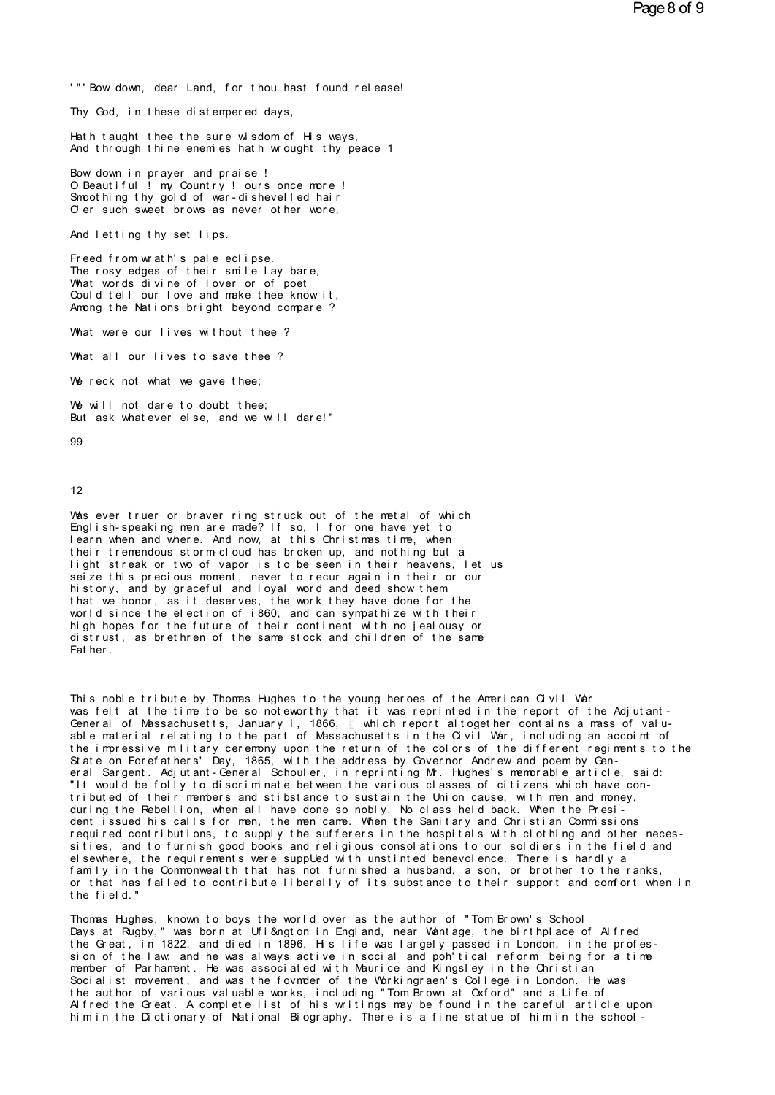'"'Bow down, dear Land, for thou hast found release!<br>Thy God, in these distempered days The Sow down, dear Land, for thou hast fourthly God, in these distempered days,<br>Thy God, in these distempered days,

'"'Bow down, dear Land, for thou hast found release!<br>Thy God, in these distempered days,<br>Hath taught thee the sure wisdom of His ways,<br>And through thine enemies hath wrought thy peace 1 ""Bow down, dear Land, for thou hast found release!"<br>Thy God, in these distempered days,<br>Hath taught thee the sure wisdom of His ways,<br>And through thine enemies hath wrought thy peace 1<br>Bow down in prayer and praise !

Iny God, in these distempered days,<br>Hath taught thee the sure wisdom of His word through thine enemies hath wrought the<br>Bow down in prayer and praise !<br>O Beautiful ! my Country ! ours once more<br>Smoothing thy gold of war-di Hath taught thee the sure wisdom of His ways,<br>And through thine enemies hath wrought thy peace 1<br>Bow down in prayer and praise !<br>O Beautiful ! my Country ! ours once more !<br>Smoothing thy gold of war-dishevelled hair<br>Of er And through thine enemies hath wrought thy peace 1<br>Bow down in prayer and praise !<br>O Beautiful ! my Country ! ours once more !<br>Smoothing thy gold of war-dishevelled hair And through thine enem eshath wrought thy peace 1<br>Bow down in prayer and praise !<br>O Beautiful ! my Country ! ours once more !<br>Smoothing thy gold of war-dishevelled hair<br>O'er such sweet brows as never other wore,<br>And lettin Bow down in prayer and praise!<br>O Beautiful! my Country! ours once<br>Smoothing thy gold of war-dishevelle<br>O er such sweet brows as never other<br>And letting thy set lips.<br>Freed from wrath's pale eclipse.

O er such sweet brows as never other wore,<br>And letting thy set lips.<br>Freed from wrath's pale eclipse.<br>The rosy edges of their smile lay bare,<br>What words divine of lover or of poet O er such sweet brows as never other wore,<br>And letting thy set lips.<br>Freed from wrath's pale eclipse.<br>The rosy edges of their smile lay bare,<br>What words divine of lover or of poet<br>Could tell our love and method from the kn And letting thy set lips.<br>Freed from wrath's pale eclipse.<br>The rosy edges of their smile lay bare,<br>What words divine of lover or of poet<br>Could tell our love and make thee know it,<br>Ammer the Nations bright hewood commer? And letting thy set lips.<br>Freed from wrath's pale eclipse.<br>The rosy edges of their smile lay bare,<br>What words divine of lover or of poet<br>Could tell our love and make thee know it,<br>Among the Nations bright beyond compare ? Freed from wrath's pale eclipse.<br>The rosy edges of their smile lay bare,<br>What words divine of lover or of poet<br>Could tell our love and make thee know it,<br>Among the Nations bright beyond compare ?<br>What were our lives withou The rosy edges of their smile lay bare,<br>What words divine of lover or of poet<br>Could tell our love and make thee know it,<br>Among the Nations bright beyond compare?<br>What were our lives without thee?<br>What all our lives to save Among the Nations bright beyond compare ?<br>What were our lives without thee ?<br>What all our lives to save thee ?<br>We reck not what we gave thee;

What were our lives without thee?<br>What all our lives to save thee?<br>We reck not what we gave thee;<br>We will not dare to doubt thee;

What all our lives to save thee ?<br>We reck not what we gave thee;<br>We will not dare to doubt thee;<br>But ask whatever else, and we will dare!" What all our lives to save thee ?<br>We reck not what we gave thee;<br>We will not dare to doubt thee;<br>But ask whatever else, and we will dare!"<br>oo

```
99
```
### 12

Was ever truer or braver ring struck out of the metal of which<br>English-speaking men are made? If so, I for one have yet to<br>Learn when and where, And now, at this Christmes time, when Wes ever truer or braver ring struck out of the metal of which<br>English-speaking men are made? If so, I for one have yet to<br>Learn when and where. And now, at this Christmas time, when<br>their tremmendous storm cloud has broke l the sever truer or braver ring struck out of the metal of which<br>English-speaking men are made? If so, I for one have yet to<br>tearn when and where. And now, at this Christmas time, when<br>their tremedous storm-cloud has brok 12<br>Was ever truer or braver ring struck out of the metal of which<br>English-speaking men are made? If so, I for one have yet to<br>learn when and where. And now, at this Christmas time, when<br>their tremendous storm-cloud has bro Was ever truer or braver ring struck out of the metal of which<br>English-speaking men are made? If so, I for one have yet to<br>learn when and where. And now, at this Christmas time, when<br>their tremendous storm-cloud has broken Was ever truer or braver ring struck out of the metal of which<br>English-speaking men are made? If so, I for one have yet to<br>learn when and where. And now, at this Christmas time, when<br>their tremendous storm cloud has broken English-speaking men are made? It so, I for one have yet to<br>learn when and where. And now, at this Christmas time, when<br>their tremendous storm-cloud has broken up, and nothing but a<br>light streak or two of vapor is to be se learn when and where. And now, at this Christmas time, when<br>their tremendous storm cloud has broken up, and nothing but a<br>light streak or two of vapor is to be seen in their heavens, let us<br>seize this precious moment, neve their tremendous storm-cloud has broken up, and nothing but a<br>light streak or two of vapor is to be seen in their heavens, let us<br>seize this precious moment, never to recuragain in their or our<br>history, and by graceful and light streak or two of vapor is to be seen in their heavens, let us<br>seize this precious moment, never to recuragain in their or our<br>history, and by graceful and loyal word and deed show them<br>that we honor, as it deserves, seize this precious moment, never to recur again in their or our history, and by graceful and loyal word and deed show them<br>that we honor, as it deserves, the work they have done for the<br>world since the election of i860, a history, and by gracthat we honor, as it<br>world since the elect<br>high hopes for the f<br>distrust, as brethre<br>Father.

This noble tribute by Thomas Hughes to the young heroes of the American Civil War<br>This noble tribute by Thomas Hughes to the young heroes of the American Civil War<br>was felt at the time to be so noteworthy that it was repri Hather.<br>This noble tribute by Thomas Hughes to the young heroes of the American Civil War<br>was felt at the time to be so noteworthy that it was reprinted in the report of the Adjutant-<br>General of Massachusetts, January i, This noble tribute by Thomas Hughes to the young heroes of the American Civil War<br>was felt at the time to be so noteworthy that it was reprinted in the report of the Adjutant-<br>General of Massachusetts, January i, 1866, If This noble tribute by Thomas Hughes to the young heroes of the American Civil War<br>Was felt at the time to be so noteworthy that it was reprinted in the report of the Adjutant-<br>General of Massachusetts, January i, 1866, whi General of Massachusetts, January i, 1866, T which report altogether contains a mass of valuable material relating to the part of Massachusetts in the Civil War, including an accoint of the impressive military ceremony upo the impressive military ceremony upon the return of the colors of the different regiments to the State on Forefathers' Day, 1865, with the address by Governor Andrew and poem by General Scription and Schouler, in reprintin State on Forefathers' Day, 1865, with the address by Governor Andrew and poem by General Sargent. Adjutant-General Schouler, in reprinting Mr. Hughes's memorable article, said:<br>"It would be folly to discriminate between the various classes of citizens which have con-<br>tributed of their members and stibstan tributed of their members and stibstance to sustain the Union cause, with men and money,<br>during the Rebellion, when all have done so nobly. No class held back. When the Presi-<br>dent issued his calls for men, the men came. W during the Rebellion, when all have done so nobly. No class held back. When the Presi-<br>dent issued his calls for men, the men came. When the Sanitary and Christian Commissions<br>required contributions, to supply the sufferer required contributions, to supply the sufferers in the hospitals with clothing and other necessities, and to furnish good books and religious consolations to our soldiers in the field and elsewhere, the requirements were s sities, and to furnish good books and religious consolations to our soldiers in the field and elsewhere, the requirements were supplied with unstinted benevolence. There is hardly a<br>family in the Commonwealth that has not furnished a husband, a son, or brother to the<br>or that has failed to contribute liberally of it

family in the Commonwealth that has not furnished a husband, a son, or brother to the ranks,<br>or that has failed to contribute liberally of its substance to their support and comfort when in<br>the field."<br>Thomas Hughes, known or that has failed to contribute liberally of its substance to their support and confort when in<br>the field."<br>Thomas Hughes, known to boys the world over as the author of "Tom Brown's School<br>Days at Rugby," was born at Ufi& Thomas Hughes, known to boys the world over as the author of "Tom Brown's School<br>Days at Rugby," was born at Ufi&ngton in England, near Wantage, the birthplace of Alfred<br>the Great, in 1822, and died in 1896. His life was l Thomas Hughes, known to boys the world over as the author of "Tom Brown's School<br>Days at Rugby," was born at Ufi&ngton in England, near Wantage, the birthplace of Alfred<br>the Great, in 1822, and died in 1896. His life was l Days at Rugby," was born at Ufi&ngton in England, near Wantage, the birthplace of Alfred<br>the Great, in 1822, and died in 1896. His life was largely passed in London, in the profes-<br>sion of the law, and he was always active the Great, in 1822, and died in 1896. His life was largely passed in London, in the profession of the law, and he was always active in social and poh'tical reform, being for a time member of Parhament. He was associated wi sion of the law, and he was always active in social and poh'tical reform, being for a time<br>member of Parhament. He was associated with Maurice and Kingsley in the Christian<br>Socialist movement, and was the fovmder of the Wo